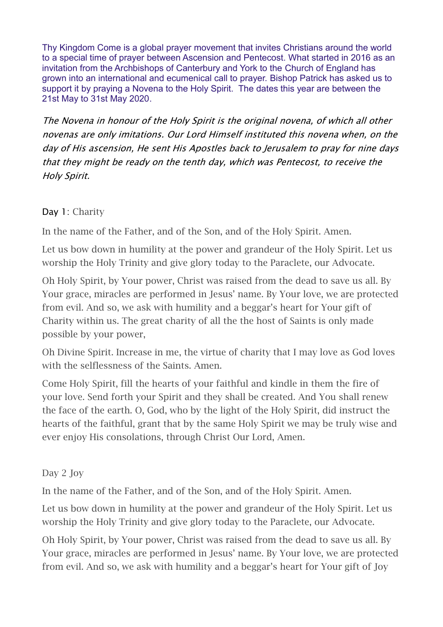Thy Kingdom Come is a global prayer movement that invites Christians around the world to a special time of prayer between Ascension and Pentecost. What started in 2016 as an invitation from the Archbishops of Canterbury and York to the Church of England has grown into an international and ecumenical call to prayer. Bishop Patrick has asked us to support it by praying a Novena to the Holy Spirit. The dates this year are between the 21st May to 31st May 2020.

The Novena in honour of the Holy Spirit is the original novena, of which all other novenas are only imitations. Our Lord Himself instituted this novena when, on the day of His ascension, He sent His Apostles back to Jerusalem to pray for nine days that they might be ready on the tenth day, which was Pentecost, to receive the Holy Spirit.

## Day 1: Charity

In the name of the Father, and of the Son, and of the Holy Spirit. Amen.

Let us bow down in humility at the power and grandeur of the Holy Spirit. Let us worship the Holy Trinity and give glory today to the Paraclete, our Advocate.

Oh Holy Spirit, by Your power, Christ was raised from the dead to save us all. By Your grace, miracles are performed in Jesus' name. By Your love, we are protected from evil. And so, we ask with humility and a beggar's heart for Your gift of Charity within us. The great charity of all the the host of Saints is only made possible by your power,

Oh Divine Spirit. Increase in me, the virtue of charity that I may love as God loves with the selflessness of the Saints. Amen.

Come Holy Spirit, fill the hearts of your faithful and kindle in them the fire of your love. Send forth your Spirit and they shall be created. And You shall renew the face of the earth. O, God, who by the light of the Holy Spirit, did instruct the hearts of the faithful, grant that by the same Holy Spirit we may be truly wise and ever enjoy His consolations, through Christ Our Lord, Amen.

Day 2 Joy

In the name of the Father, and of the Son, and of the Holy Spirit. Amen.

Let us bow down in humility at the power and grandeur of the Holy Spirit. Let us worship the Holy Trinity and give glory today to the Paraclete, our Advocate.

Oh Holy Spirit, by Your power, Christ was raised from the dead to save us all. By Your grace, miracles are performed in Jesus' name. By Your love, we are protected from evil. And so, we ask with humility and a beggar's heart for Your gift of Joy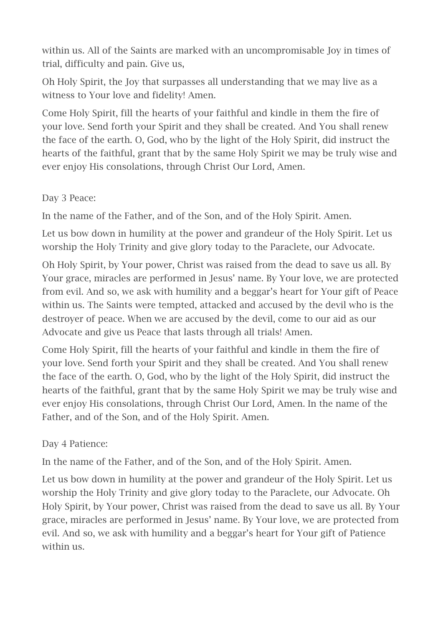within us. All of the Saints are marked with an uncompromisable Joy in times of trial, difficulty and pain. Give us,

Oh Holy Spirit, the Joy that surpasses all understanding that we may live as a witness to Your love and fidelity! Amen.

Come Holy Spirit, fill the hearts of your faithful and kindle in them the fire of your love. Send forth your Spirit and they shall be created. And You shall renew the face of the earth. O, God, who by the light of the Holy Spirit, did instruct the hearts of the faithful, grant that by the same Holy Spirit we may be truly wise and ever enjoy His consolations, through Christ Our Lord, Amen.

## Day 3 Peace:

In the name of the Father, and of the Son, and of the Holy Spirit. Amen.

Let us bow down in humility at the power and grandeur of the Holy Spirit. Let us worship the Holy Trinity and give glory today to the Paraclete, our Advocate.

Oh Holy Spirit, by Your power, Christ was raised from the dead to save us all. By Your grace, miracles are performed in Jesus' name. By Your love, we are protected from evil. And so, we ask with humility and a beggar's heart for Your gift of Peace within us. The Saints were tempted, attacked and accused by the devil who is the destroyer of peace. When we are accused by the devil, come to our aid as our Advocate and give us Peace that lasts through all trials! Amen.

Come Holy Spirit, fill the hearts of your faithful and kindle in them the fire of your love. Send forth your Spirit and they shall be created. And You shall renew the face of the earth. O, God, who by the light of the Holy Spirit, did instruct the hearts of the faithful, grant that by the same Holy Spirit we may be truly wise and ever enjoy His consolations, through Christ Our Lord, Amen. In the name of the Father, and of the Son, and of the Holy Spirit. Amen.

## Day 4 Patience:

In the name of the Father, and of the Son, and of the Holy Spirit. Amen.

Let us bow down in humility at the power and grandeur of the Holy Spirit. Let us worship the Holy Trinity and give glory today to the Paraclete, our Advocate. Oh Holy Spirit, by Your power, Christ was raised from the dead to save us all. By Your grace, miracles are performed in Jesus' name. By Your love, we are protected from evil. And so, we ask with humility and a beggar's heart for Your gift of Patience within us.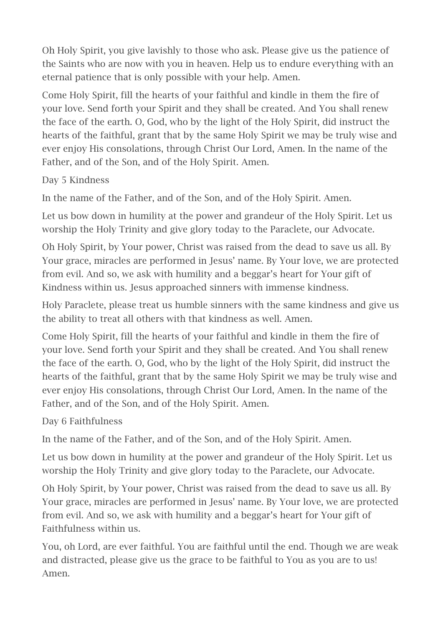Oh Holy Spirit, you give lavishly to those who ask. Please give us the patience of the Saints who are now with you in heaven. Help us to endure everything with an eternal patience that is only possible with your help. Amen.

Come Holy Spirit, fill the hearts of your faithful and kindle in them the fire of your love. Send forth your Spirit and they shall be created. And You shall renew the face of the earth. O, God, who by the light of the Holy Spirit, did instruct the hearts of the faithful, grant that by the same Holy Spirit we may be truly wise and ever enjoy His consolations, through Christ Our Lord, Amen. In the name of the Father, and of the Son, and of the Holy Spirit. Amen.

Day 5 Kindness

In the name of the Father, and of the Son, and of the Holy Spirit. Amen.

Let us bow down in humility at the power and grandeur of the Holy Spirit. Let us worship the Holy Trinity and give glory today to the Paraclete, our Advocate.

Oh Holy Spirit, by Your power, Christ was raised from the dead to save us all. By Your grace, miracles are performed in Jesus' name. By Your love, we are protected from evil. And so, we ask with humility and a beggar's heart for Your gift of Kindness within us. Jesus approached sinners with immense kindness.

Holy Paraclete, please treat us humble sinners with the same kindness and give us the ability to treat all others with that kindness as well. Amen.

Come Holy Spirit, fill the hearts of your faithful and kindle in them the fire of your love. Send forth your Spirit and they shall be created. And You shall renew the face of the earth. O, God, who by the light of the Holy Spirit, did instruct the hearts of the faithful, grant that by the same Holy Spirit we may be truly wise and ever enjoy His consolations, through Christ Our Lord, Amen. In the name of the Father, and of the Son, and of the Holy Spirit. Amen.

Day 6 Faithfulness

In the name of the Father, and of the Son, and of the Holy Spirit. Amen.

Let us bow down in humility at the power and grandeur of the Holy Spirit. Let us worship the Holy Trinity and give glory today to the Paraclete, our Advocate.

Oh Holy Spirit, by Your power, Christ was raised from the dead to save us all. By Your grace, miracles are performed in Jesus' name. By Your love, we are protected from evil. And so, we ask with humility and a beggar's heart for Your gift of Faithfulness within us.

You, oh Lord, are ever faithful. You are faithful until the end. Though we are weak and distracted, please give us the grace to be faithful to You as you are to us! Amen.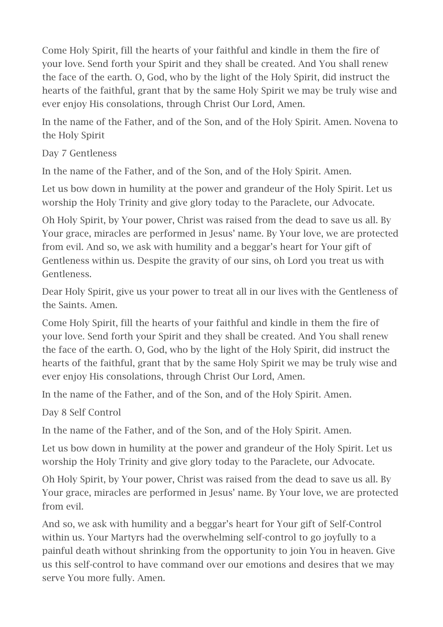Come Holy Spirit, fill the hearts of your faithful and kindle in them the fire of your love. Send forth your Spirit and they shall be created. And You shall renew the face of the earth. O, God, who by the light of the Holy Spirit, did instruct the hearts of the faithful, grant that by the same Holy Spirit we may be truly wise and ever enjoy His consolations, through Christ Our Lord, Amen.

In the name of the Father, and of the Son, and of the Holy Spirit. Amen. Novena to the Holy Spirit

Day 7 Gentleness

In the name of the Father, and of the Son, and of the Holy Spirit. Amen.

Let us bow down in humility at the power and grandeur of the Holy Spirit. Let us worship the Holy Trinity and give glory today to the Paraclete, our Advocate.

Oh Holy Spirit, by Your power, Christ was raised from the dead to save us all. By Your grace, miracles are performed in Jesus' name. By Your love, we are protected from evil. And so, we ask with humility and a beggar's heart for Your gift of Gentleness within us. Despite the gravity of our sins, oh Lord you treat us with Gentleness.

Dear Holy Spirit, give us your power to treat all in our lives with the Gentleness of the Saints. Amen.

Come Holy Spirit, fill the hearts of your faithful and kindle in them the fire of your love. Send forth your Spirit and they shall be created. And You shall renew the face of the earth. O, God, who by the light of the Holy Spirit, did instruct the hearts of the faithful, grant that by the same Holy Spirit we may be truly wise and ever enjoy His consolations, through Christ Our Lord, Amen.

In the name of the Father, and of the Son, and of the Holy Spirit. Amen.

Day 8 Self Control

In the name of the Father, and of the Son, and of the Holy Spirit. Amen.

Let us bow down in humility at the power and grandeur of the Holy Spirit. Let us worship the Holy Trinity and give glory today to the Paraclete, our Advocate.

Oh Holy Spirit, by Your power, Christ was raised from the dead to save us all. By Your grace, miracles are performed in Jesus' name. By Your love, we are protected from evil.

And so, we ask with humility and a beggar's heart for Your gift of Self-Control within us. Your Martyrs had the overwhelming self-control to go joyfully to a painful death without shrinking from the opportunity to join You in heaven. Give us this self-control to have command over our emotions and desires that we may serve You more fully. Amen.